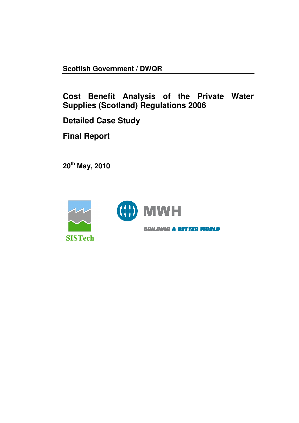**Scottish Government / DWQR** 

**Cost Benefit Analysis of the Private Water Supplies (Scotland) Regulations 2006** 

**Detailed Case Study** 

**Final Report** 

**20th May, 2010** 



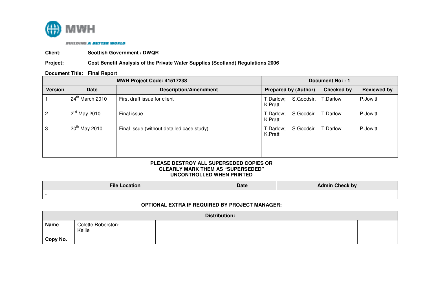

**BUILDING A BETTER WORLD** 

**Client: Scottish Government / DWQR** 

## **Project: Cost Benefit Analysis of the Private Water Supplies (Scotland) Regulations 2006**

#### **Document Title: Final Report**

|                |                   | MWH Project Code: 41517238                | Document No: - 1                   |            |                    |  |
|----------------|-------------------|-------------------------------------------|------------------------------------|------------|--------------------|--|
| <b>Version</b> | <b>Date</b>       | <b>Description/Amendment</b>              | <b>Prepared by (Author)</b>        | Checked by | <b>Reviewed by</b> |  |
|                | $24th$ March 2010 | First draft issue for client              | S.Goodsir.<br>T.Darlow;<br>K.Pratt | T.Darlow   | P.Jowitt           |  |
|                | $2^{nd}$ May 2010 | Final issue                               | S.Goodsir.<br>T.Darlow;<br>K.Pratt | T.Darlow   | P.Jowitt           |  |
| 3              | $20th$ May 2010   | Final Issue (without detailed case study) | S.Goodsir.<br>T.Darlow;<br>K.Pratt | T.Darlow   | P.Jowitt           |  |
|                |                   |                                           |                                    |            |                    |  |
|                |                   |                                           |                                    |            |                    |  |

#### **PLEASE DESTROY ALL SUPERSEDED COPIES OR CLEARLY MARK THEM AS "SUPERSEDED" UNCONTROLLED WHEN PRINTED**

| <b>File Location</b> | Date | <b>Admin Check by</b> |
|----------------------|------|-----------------------|
|                      |      |                       |

## **OPTIONAL EXTRA IF REQUIRED BY PROJECT MANAGER:**

| <b>Distribution:</b> |                              |  |  |  |  |  |  |
|----------------------|------------------------------|--|--|--|--|--|--|
| <b>Name</b>          | Colette Roberston-<br>Kellie |  |  |  |  |  |  |
| Copy No.             |                              |  |  |  |  |  |  |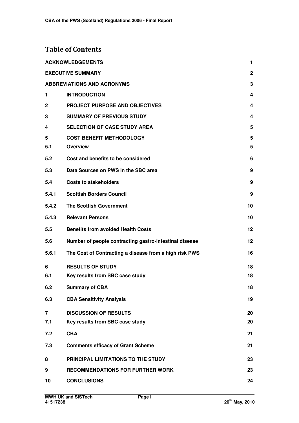# **Table of Contents**

|                | <b>ACKNOWLEDGEMENTS</b>                                | 1            |
|----------------|--------------------------------------------------------|--------------|
|                | <b>EXECUTIVE SUMMARY</b>                               | $\mathbf{2}$ |
|                | <b>ABBREVIATIONS AND ACRONYMS</b>                      | 3            |
| 1              | <b>INTRODUCTION</b>                                    | 4            |
| $\mathbf 2$    | <b>PROJECT PURPOSE AND OBJECTIVES</b>                  | 4            |
| 3              | <b>SUMMARY OF PREVIOUS STUDY</b>                       | 4            |
| 4              | <b>SELECTION OF CASE STUDY AREA</b>                    | 5            |
| 5              | <b>COST BENEFIT METHODOLOGY</b>                        | 5            |
| 5.1            | <b>Overview</b>                                        | 5            |
| 5.2            | Cost and benefits to be considered                     | 6            |
| 5.3            | Data Sources on PWS in the SBC area                    | 9            |
| 5.4            | <b>Costs to stakeholders</b>                           | 9            |
| 5.4.1          | <b>Scottish Borders Council</b>                        | 9            |
| 5.4.2          | <b>The Scottish Government</b>                         | 10           |
| 5.4.3          | <b>Relevant Persons</b>                                | 10           |
| 5.5            | <b>Benefits from avoided Health Costs</b>              | 12           |
| 5.6            | Number of people contracting gastro-intestinal disease | 12           |
| 5.6.1          | The Cost of Contracting a disease from a high risk PWS | 16           |
| 6              | <b>RESULTS OF STUDY</b>                                | 18           |
| 6.1            | Key results from SBC case study                        | 18           |
| 6.2            | <b>Summary of CBA</b>                                  | 18           |
| 6.3            | <b>CBA Sensitivity Analysis</b>                        | 19           |
| $\overline{7}$ | <b>DISCUSSION OF RESULTS</b>                           | 20           |
| 7.1            | Key results from SBC case study                        | 20           |
| 7.2            | <b>CBA</b>                                             | 21           |
| 7.3            | <b>Comments efficacy of Grant Scheme</b>               | 21           |
| 8              | PRINCIPAL LIMITATIONS TO THE STUDY                     | 23           |
| 9              | <b>RECOMMENDATIONS FOR FURTHER WORK</b>                | 23           |
| 10             | <b>CONCLUSIONS</b>                                     | 24           |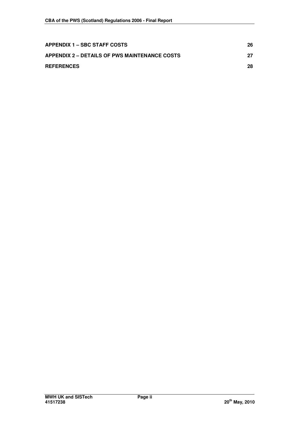| APPENDIX 1 – SBC STAFF COSTS                  | 26 |
|-----------------------------------------------|----|
| APPENDIX 2 – DETAILS OF PWS MAINTENANCE COSTS | 27 |
| <b>REFERENCES</b>                             | 28 |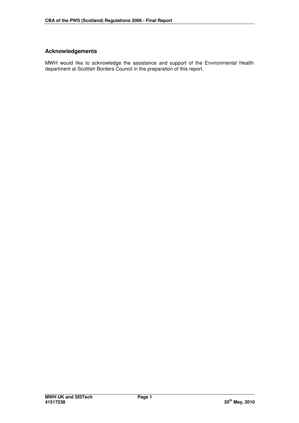# **Acknowledgements**

MWH would like to acknowledge the assistance and support of the Environmental Health department at Scottish Borders Council in the preparation of this report.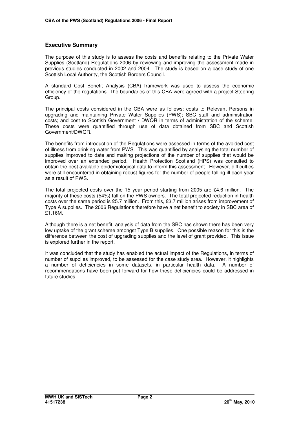## **Executive Summary**

The purpose of this study is to assess the costs and benefits relating to the Private Water Supplies (Scotland) Regulations 2006 by reviewing and improving the assessment made in previous studies conducted in 2002 and 2004. The study is based on a case study of one Scottish Local Authority, the Scottish Borders Council.

A standard Cost Benefit Analysis (CBA) framework was used to assess the economic efficiency of the regulations. The boundaries of this CBA were agreed with a project Steering Group.

The principal costs considered in the CBA were as follows: costs to Relevant Persons in upgrading and maintaining Private Water Supplies (PWS); SBC staff and administration costs; and cost to Scottish Government / DWQR in terms of administration of the scheme. These costs were quantified through use of data obtained from SBC and Scottish Government/DWQR.

The benefits from introduction of the Regulations were assessed in terms of the avoided cost of illness from drinking water from PWS. This was quantified by analysing the total number of supplies improved to date and making projections of the number of supplies that would be improved over an extended period. Health Protection Scotland (HPS) was consulted to obtain the best available epidemiological data to inform this assessment. However, difficulties were still encountered in obtaining robust figures for the number of people falling ill each year as a result of PWS.

The total projected costs over the 15 year period starting from 2005 are £4.6 million. The majority of these costs (54%) fall on the PWS owners. The total projected reduction in health costs over the same period is £5.7 million. From this, £3.7 million arises from improvement of Type A supplies. The 2006 Regulations therefore have a net benefit to society in SBC area of £1.16M.

Although there is a net benefit, analysis of data from the SBC has shown there has been very low uptake of the grant scheme amongst Type B supplies. One possible reason for this is the difference between the cost of upgrading supplies and the level of grant provided. This issue is explored further in the report.

It was concluded that the study has enabled the actual impact of the Regulations, in terms of number of supplies improved, to be assessed for the case study area. However, it highlights a number of deficiencies in some datasets, in particular health data. A number of recommendations have been put forward for how these deficiencies could be addressed in future studies.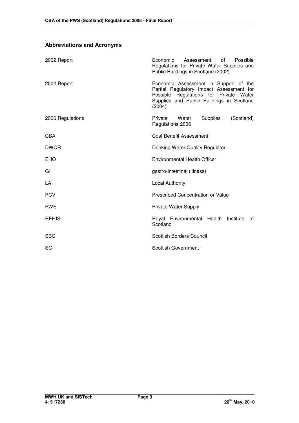| 2002 Report      | Economic<br>Assessment<br>Possible<br>of l<br>Regulations for Private Water Supplies and<br>Public Buildings in Scotland (2002)                                                    |  |  |  |
|------------------|------------------------------------------------------------------------------------------------------------------------------------------------------------------------------------|--|--|--|
| 2004 Report      | Economic Assessment in Support of the<br>Partial Regulatory Impact Assessment for<br>Possible Regulations for Private Water<br>Supplies and Public Buildings in Scotland<br>(2004) |  |  |  |
| 2006 Regulations | <b>Supplies</b><br>(Scotland)<br>Private<br>Water<br>Regulations 2006                                                                                                              |  |  |  |
| <b>CBA</b>       | <b>Cost Benefit Assessment</b>                                                                                                                                                     |  |  |  |
| <b>DWQR</b>      | Drinking Water Quality Regulator                                                                                                                                                   |  |  |  |
| EHO              | <b>Environmental Health Officer</b>                                                                                                                                                |  |  |  |
| GI               | gastro-intestinal (illness)                                                                                                                                                        |  |  |  |
| LA               | <b>Local Authority</b>                                                                                                                                                             |  |  |  |
| <b>PCV</b>       | <b>Prescribed Concentration or Value</b>                                                                                                                                           |  |  |  |
| <b>PWS</b>       | Private Water Supply                                                                                                                                                               |  |  |  |
| <b>REHIS</b>     | Royal Environmental Health<br>Institute<br>οf<br>Scotland                                                                                                                          |  |  |  |
| <b>SBC</b>       | <b>Scottish Borders Council</b>                                                                                                                                                    |  |  |  |
| SG               | <b>Scottish Government</b>                                                                                                                                                         |  |  |  |

# **Abbreviations and Acronyms**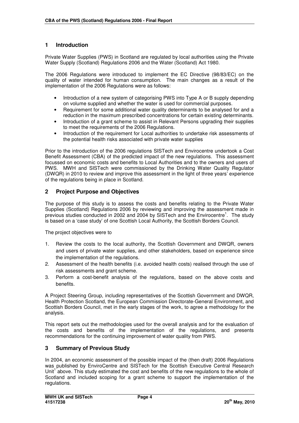# **1 Introduction**

Private Water Supplies (PWS) in Scotland are regulated by local authorities using the Private Water Supply (Scotland) Regulations 2006 and the Water (Scotland) Act 1980.

The 2006 Regulations were introduced to implement the EC Directive (98/83/EC) on the quality of water intended for human consumption. The main changes as a result of the implementation of the 2006 Regulations were as follows:

- Introduction of a new system of categorising PWS into Type A or B supply depending on volume supplied and whether the water is used for commercial purposes.
- Requirement for some additional water quality determinants to be analysed for and a reduction in the maximum prescribed concentrations for certain existing determinants.
- Introduction of a grant scheme to assist in Relevant Persons upgrading their supplies to meet the requirements of the 2006 Regulations.
- Introduction of the requirement for Local authorities to undertake risk assessments of the potential health risks associated with private water supplies

Prior to the introduction of the 2006 regulations SISTech and Envirocentre undertook a Cost Benefit Assessment (CBA) of the predicted impact of the new regulations. This assessment focussed on economic costs and benefits to Local Authorities and to the owners and users of PWS. MWH and SISTech were commissioned by the Drinking Water Quality Regulator (DWQR) in 2010 to review and improve this assessment in the light of three years' experience of the regulations being in place in Scotland.

## **2 Project Purpose and Objectives**

The purpose of this study is to assess the costs and benefits relating to the Private Water Supplies (Scotland) Regulations 2006 by reviewing and improving the assessment made in previous studies conducted in 2002 and 2004 by SISTech and the Envirocentre<sup>1</sup>. The study is based on a 'case study' of one Scottish Local Authority, the Scottish Borders Council.

The project objectives were to

- 1. Review the costs to the local authority, the Scottish Government and DWQR, owners and users of private water supplies, and other stakeholders, based on experience since the implementation of the regulations.
- 2. Assessment of the health benefits (i.e. avoided health costs) realised through the use of risk assessments and grant scheme.
- 3. Perform a cost-benefit analysis of the regulations, based on the above costs and benefits.

A Project Steering Group, including representatives of the Scottish Government and DWQR, Health Protection Scotland, the European Commission Directorate-General Environment, and Scottish Borders Council, met in the early stages of the work, to agree a methodology for the analysis.

This report sets out the methodologies used for the overall analysis and for the evaluation of the costs and benefits of the implementation of the regulations, and presents recommendations for the continuing improvement of water quality from PWS.

#### **3 Summary of Previous Study**

In 2004, an economic assessment of the possible impact of the (then draft) 2006 Regulations was published by EnviroCentre and SISTech for the Scottish Executive Central Research Unit<sup>1</sup> above. This study estimated the cost and benefits of the new regulations to the whole of Scotland and included scoping for a grant scheme to support the implementation of the regulations.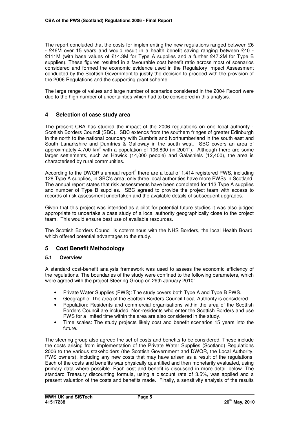The report concluded that the costs for implementing the new regulations ranged between £6 - £46M over 15 years and would result in a health benefit saving ranging between £40 - £111M (with base values of £14.3M for Type A supplies and a further £47.2M for Type B supplies). These figures resulted in a favourable cost benefit ratio across most of scenarios considered and formed the economic evidence used in the Regulatory Impact Assessment conducted by the Scottish Government to justify the decision to proceed with the provision of the 2006 Regulations and the supporting grant scheme.

The large range of values and large number of scenarios considered in the 2004 Report were due to the high number of uncertainties which had to be considered in this analysis.

## **4 Selection of case study area**

The present CBA has studied the impact of the 2006 regulations on one local authority - Scottish Borders Council (SBC). SBC extends from the southern fringes of greater Edinburgh in the north to the national boundary with Cumbria and Northumberland in the south east and South Lanarkshire and Dumfries & Galloway in the south west. SBC covers an area of approximately 4,700 km<sup>2</sup> with a population of 106,800 (in 2001<sup>2</sup>). Although there are some larger settlements, such as Hawick (14,000 people) and Galashiels (12,400), the area is characterised by rural communities.

According to the DWQR's annual report<sup>3</sup> there are a total of 1,414 registered PWS, including 128 Type A supplies, in SBC's area; only three local authorities have more PWSs in Scotland. The annual report states that risk assessments have been completed for 113 Type A supplies and number of Type B supplies. SBC agreed to provide the project team with access to records of risk assessment undertaken and the available details of subsequent upgrades.

Given that this project was intended as a pilot for potential future studies it was also judged appropriate to undertake a case study of a local authority geographically close to the project team. This would ensure best use of available resources.

The Scottish Borders Council is coterminous with the NHS Borders, the local Health Board, which offered potential advantages to the study.

# **5 Cost Benefit Methodology**

#### **5.1 Overview**

A standard cost-benefit analysis framework was used to assess the economic efficiency of the regulations. The boundaries of the study were confined to the following parameters, which were agreed with the project Steering Group on 29th January 2010:

- Private Water Supplies (PWS): The study covers both Type A and Type B PWS.
- Geographic: The area of the Scottish Borders Council Local Authority is considered.
- Population: Residents and commercial organisations within the area of the Scottish Borders Council are included. Non-residents who enter the Scottish Borders and use PWS for a limited time within the area are also considered in the study.
- Time scales: The study projects likely cost and benefit scenarios 15 years into the future.

The steering group also agreed the set of costs and benefits to be considered. These include the costs arising from implementation of the Private Water Supplies (Scotland) Regulations 2006 to the various stakeholders (the Scottish Government and DWQR, the Local Authority, PWS owners), including any new costs that may have arisen as a result of the regulations. Each of the costs and benefits was physically quantified and then monetarily evaluated, using primary data where possible. Each cost and benefit is discussed in more detail below. The standard Treasury discounting formula, using a discount rate of 3.5%, was applied and a present valuation of the costs and benefits made. Finally, a sensitivity analysis of the results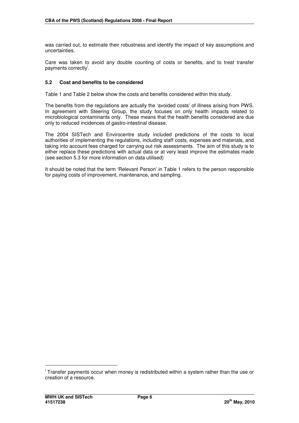was carried out, to estimate their robustness and identify the impact of key assumptions and uncertainties.

Care was taken to avoid any double counting of costs or benefits, and to treat transfer payments correctly<sup>i</sup>.

## **5.2 Cost and benefits to be considered**

Table 1 and Table 2 below show the costs and benefits considered within this study.

The benefits from the regulations are actually the 'avoided costs' of illness arising from PWS. In agreement with Steering Group, the study focuses on only health impacts related to microbiological contaminants only. These means that the health benefits considered are due only to reduced incidences of gastro-intestinal disease.

The 2004 SISTech and Envirocentre study included predictions of the costs to local authorities of implementing the regulations, including staff costs, expenses and materials, and taking into account fees charged for carrying out risk assessments. The aim of this study is to either replace these predictions with actual data or at very least improve the estimates made (see section 5.3 for more information on data utilised)

It should be noted that the term 'Relevant Person' in Table 1 refers to the person responsible for paying costs of improvement, maintenance, and sampling.

l

<sup>&</sup>lt;sup>i</sup> Transfer payments occur when money is redistributed within a system rather than the use or creation of a resource.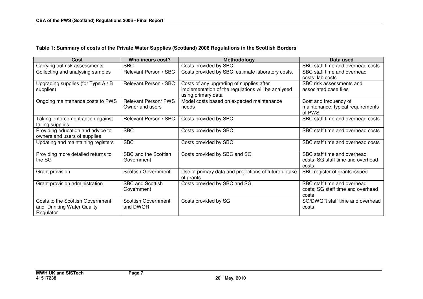# **Table 1: Summary of costs of the Private Water Supplies (Scotland) 2006 Regulations in the Scottish Borders**

| <b>Cost</b>                                                                 | Who incurs cost?                       | Methodology                                                                                                          | Data used                                                                 |
|-----------------------------------------------------------------------------|----------------------------------------|----------------------------------------------------------------------------------------------------------------------|---------------------------------------------------------------------------|
| Carrying out risk assessments                                               | <b>SBC</b>                             | Costs provided by SBC                                                                                                | SBC staff time and overhead costs                                         |
| Collecting and analysing samples                                            | Relevant Person / SBC                  | Costs provided by SBC; estimate laboratory costs.                                                                    | SBC staff time and overhead<br>costs; lab costs                           |
| Upgrading supplies (for Type A / B<br>supplies)                             | Relevant Person / SBC                  | Costs of any upgrading of supplies after<br>implementation of the regulations will be analysed<br>using primary data | SBC risk assessments and<br>associated case files                         |
| Ongoing maintenance costs to PWS                                            | Relevant Person/PWS<br>Owner and users | Model costs based on expected maintenance<br>needs                                                                   | Cost and frequency of<br>maintenance, typical requirements<br>of PWS      |
| Taking enforcement action against<br>failing supplies                       | Relevant Person / SBC                  | Costs provided by SBC                                                                                                | SBC staff time and overhead costs                                         |
| Providing education and advice to<br>owners and users of supplies           | <b>SBC</b>                             | Costs provided by SBC                                                                                                | SBC staff time and overhead costs                                         |
| Updating and maintaining registers                                          | <b>SBC</b>                             | Costs provided by SBC                                                                                                | SBC staff time and overhead costs                                         |
| Providing more detailed returns to<br>the SG                                | SBC and the Scottish<br>Government     | Costs provided by SBC and SG                                                                                         | SBC staff time and overhead<br>costs; SG staff time and overhead<br>costs |
| Grant provision                                                             | <b>Scottish Government</b>             | Use of primary data and projections of future uptake<br>of grants                                                    | SBC register of grants issued                                             |
| Grant provision administration                                              | <b>SBC and Scottish</b><br>Government  | Costs provided by SBC and SG                                                                                         | SBC staff time and overhead<br>costs; SG staff time and overhead<br>costs |
| Costs to the Scottish Government<br>and Drinking Water Quality<br>Regulator | Scottish Government<br>and DWOR        | Costs provided by SG                                                                                                 | SG/DWQR staff time and overhead<br>costs                                  |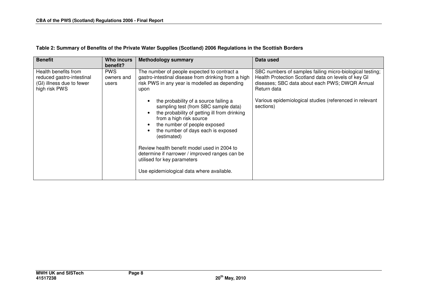| <b>Benefit</b>                                                                                  | Who incurs<br>benefit?            | <b>Methodology summary</b>                                                                                                                                                                                                                                                                                                                                                                                                 | Data used                                                                                                                                                                        |
|-------------------------------------------------------------------------------------------------|-----------------------------------|----------------------------------------------------------------------------------------------------------------------------------------------------------------------------------------------------------------------------------------------------------------------------------------------------------------------------------------------------------------------------------------------------------------------------|----------------------------------------------------------------------------------------------------------------------------------------------------------------------------------|
| Health benefits from<br>reduced gastro-intestinal<br>(GI) illness due to fewer<br>high risk PWS | <b>PWS</b><br>owners and<br>users | The number of people expected to contract a<br>gastro-intestinal disease from drinking from a high<br>risk PWS in any year is modelled as depending<br>upon                                                                                                                                                                                                                                                                | SBC numbers of samples failing micro-biological testing;<br>Health Protection Scotland data on levels of key GI<br>diseases; SBC data about each PWS; DWQR Annual<br>Return data |
|                                                                                                 |                                   | the probability of a source failing a<br>sampling test (from SBC sample data)<br>the probability of getting ill from drinking<br>from a high risk source<br>the number of people exposed<br>the number of days each is exposed<br>(estimated)<br>Review health benefit model used in 2004 to<br>determine if narrower / improved ranges can be<br>utilised for key parameters<br>Use epidemiological data where available. | Various epidemiological studies (referenced in relevant<br>sections)                                                                                                             |

# **Table 2: Summary of Benefits of the Private Water Supplies (Scotland) 2006 Regulations in the Scottish Borders**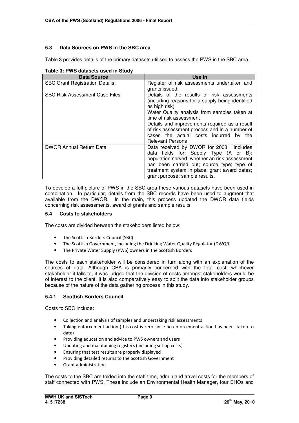# **5.3 Data Sources on PWS in the SBC area**

Table 3 provides details of the primary datasets utilised to assess the PWS in the SBC area.

| <b>Data Source</b>                     | Use in                                                                                                                                                                                                                                                                                                                                                               |
|----------------------------------------|----------------------------------------------------------------------------------------------------------------------------------------------------------------------------------------------------------------------------------------------------------------------------------------------------------------------------------------------------------------------|
| <b>SBC Grant Registration Details:</b> | Register of risk assessments undertaken and<br>grants issued.                                                                                                                                                                                                                                                                                                        |
| <b>SBC Risk Assessment Case Files</b>  | Details of the results of risk assessments<br>(including reasons for a supply being identified<br>as high risk)<br>Water Quality analysis from samples taken at<br>time of risk assessment<br>Details and improvements required as a result<br>of risk assessment process and in a number of<br>cases the actual costs incurred<br>by the<br><b>Relevant Persons</b> |
| <b>DWQR Annual Return Data</b>         | Data received by DWQR for 2008. Includes<br>data fields for: Supply Type (A or B);<br>population served; whether an risk assessment<br>has been carried out; source type; type of<br>treatment system in place; grant award dates;<br>grant purpose; sample results.                                                                                                 |

**Table 3: PWS datasets used in Study** 

To develop a full picture of PWS in the SBC area these various datasets have been used in combination. In particular, details from the SBC records have been used to augment that available from the DWQR. In the main, this process updated the DWQR data fields concerning risk assessments, award of grants and sample results

#### **5.4 Costs to stakeholders**

The costs are divided between the stakeholders listed below:

- The Scottish Borders Council (SBC)
- The Scottish Government, including the Drinking Water Quality Regulator (DWQR)
- The Private Water Supply (PWS) owners in the Scottish Borders

The costs to each stakeholder will be considered in turn along with an explanation of the sources of data. Although CBA is primarily concerned with the total cost, whichever stakeholder it falls to, it was judged that the division of costs amongst stakeholders would be of interest to the client. It is also comparatively easy to split the data into stakeholder groups because of the nature of the data gathering process in this study.

# **5.4.1 Scottish Borders Council**

Costs to SBC include:

- Collection and analysis of samples and undertaking risk assessments
- Taking enforcement action (this cost is zero since no enforcement action has been taken to date)
- Providing education and advice to PWS owners and users
- Updating and maintaining registers (including set up costs)
- Ensuring that test results are properly displayed
- Providing detailed returns to the Scottish Government
- Grant administration

The costs to the SBC are folded into the staff time, admin and travel costs for the members of staff connected with PWS. These include an Environmental Health Manager, four EHOs and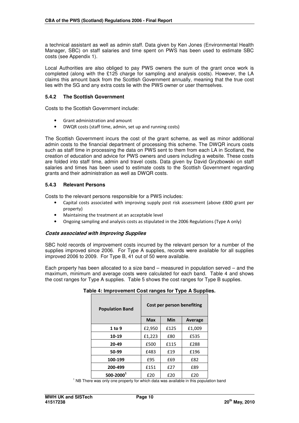a technical assistant as well as admin staff. Data given by Ken Jones (Environmental Health Manager, SBC) on staff salaries and time spent on PWS has been used to estimate SBC costs (see Appendix 1).

Local Authorities are also obliged to pay PWS owners the sum of the grant once work is completed (along with the £125 charge for sampling and analysis costs). However, the LA claims this amount back from the Scottish Government annually, meaning that the true cost lies with the SG and any extra costs lie with the PWS owner or user themselves.

## **5.4.2 The Scottish Government**

Costs to the Scottish Government include:

- Grant administration and amount
- DWQR costs (staff time, admin, set up and running costs)

The Scottish Government incurs the cost of the grant scheme, as well as minor additional admin costs to the financial department of processing this scheme. The DWQR incurs costs such as staff time in processing the data on PWS sent to them from each LA in Scotland, the creation of education and advice for PWS owners and users including a website. These costs are folded into staff time, admin and travel costs. Data given by David Gryzbowski on staff salaries and times has been used to estimate costs to the Scottish Government regarding grants and their administration as well as DWQR costs.

#### **5.4.3 Relevant Persons**

Costs to the relevant persons responsible for a PWS includes:

- Capital costs associated with improving supply post risk assessment (above £800 grant per property)
- Maintaining the treatment at an acceptable level
- Ongoing sampling and analysis costs as stipulated in the 2006 Regulations (Type A only)

#### **Costs associated with Improving Supplies**

SBC hold records of improvement costs incurred by the relevant person for a number of the supplies improved since 2006. For Type A supplies, records were available for all supplies improved 2006 to 2009. For Type B, 41 out of 50 were available.

Each property has been allocated to a size band – measured in population served – and the maximum, minimum and average costs were calculated for each band. Table 4 and shows the cost ranges for Type A supplies. Table 5 shows the cost ranges for Type B supplies.

#### **Table 4: Improvement Cost ranges for Type A Supplies.**

| <b>Population Band</b> | Cost per person benefiting   |      |        |  |  |
|------------------------|------------------------------|------|--------|--|--|
|                        | Min<br><b>Max</b><br>Average |      |        |  |  |
| 1 to 9                 | £2,950                       | £125 | £1,009 |  |  |
| 10-19                  | £1,223                       | £80  | £535   |  |  |
| 20-49                  | £500                         | £115 | £288   |  |  |
| 50-99                  | £483                         | £19  | £196   |  |  |
| 100-199                | £95                          | £69  | £82    |  |  |
| 200-499                | £151                         | £27  | £89    |  |  |
| $500 - 20001$          | £20                          | £20  | £20    |  |  |

<sup>1</sup> NB There was only one property for which data was available in this population band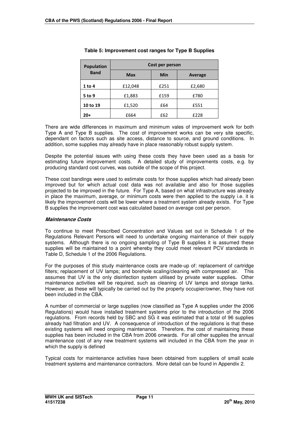| <b>Population</b> | Cost per person |      |         |  |
|-------------------|-----------------|------|---------|--|
| <b>Band</b>       | <b>Max</b>      | Min  | Average |  |
| 1 to 4            | £12,048         | £251 | £2,680  |  |
| 5 to 9            | £1,883          | £159 | £780    |  |
| 10 to 19          | £1,520          | £64  | £551    |  |
| 20+               | £664            | £62  | £228    |  |

## **Table 5: Improvement cost ranges for Type B Supplies**

There are wide differences in maximum and minimum vales of improvement work for both Type A and Type B supplies. The cost of improvement works can be very site specific, dependant on factors such as site access, distance to source, and ground conditions. In addition, some supplies may already have in place reasonably robust supply system.

Despite the potential issues with using these costs they have been used as a basis for estimating future improvement costs. A detailed study of improvements costs, e.g. by producing standard cost curves, was outside of the scope of this project.

These cost bandings were used to estimate costs for those supplies which had already been improved but for which actual cost data was not available and also for those supplies projected to be improved in the future. For Type A, based on what infrastructure was already in place the maximum, average, or minimum costs were then applied to the supply i.e. it is likely the improvement costs will be lower where a treatment system already exists. For Type B supplies the improvement cost was calculated based on average cost per person.

#### **Maintenance Costs**

To continue to meet Prescribed Concentration and Values set out in Schedule 1 of the Regulations Relevant Persons will need to undertake ongoing maintenance of their supply systems. Although there is no ongoing sampling of Type B supplies it is assumed these supplies will be maintained to a point whereby they could meet relevant PCV standards in Table D, Schedule 1 of the 2006 Regulations.

For the purposes of this study maintenance costs are made-up of: replacement of cartridge filters; replacement of UV lamps; and borehole scaling/cleaning with compressed air. This assumes that UV is the only disinfection system utilised by private water supplies**.** Other maintenance activities will be required, such as cleaning of UV lamps and storage tanks. However, as these will typically be carried out by the property occupier/owner, they have not been included in the CBA.

A number of commercial or large supplies (now classified as Type A supplies under the 2006 Regulations) would have installed treatment systems prior to the introduction of the 2006 regulations. From records held by SBC and SG it was estimated that a total of 96 supplies already had filtration and UV. A consequence of introduction of the regulations is that these existing systems will need ongoing maintenance. Therefore, the cost of maintaining these supplies has been included in the CBA from 2006 onwards. For all other supplies the annual maintenance cost of any new treatment systems will included in the CBA from the year in which the supply is defined

Typical costs for maintenance activities have been obtained from suppliers of small scale treatment systems and maintenance contractors. More detail can be found in Appendix 2.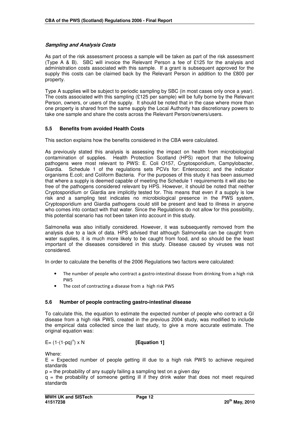#### **Sampling and Analysis Costs**

As part of the risk assessment process a sample will be taken as part of the risk assessment (Type A & B). SBC will invoice the Relevant Person a fee of £125 for the analysis and administration costs associated with this sample. If a grant is subsequent approved for the supply this costs can be claimed back by the Relevant Person in addition to the £800 per property.

Type A supplies will be subject to periodic sampling by SBC (in most cases only once a year). The costs associated with this sampling (£125 per sample) will be fully borne by the Relevant Person, owners, or users of the supply. It should be noted that in the case where more than one property is shared from the same supply the Local Authority has discretionary powers to take one sample and share the costs across the Relevant Person/owners/users.

#### **5.5 Benefits from avoided Health Costs**

This section explains how the benefits considered in the CBA were calculated.

As previously stated this analysis is assessing the impact on health from microbiological contamination of supplies. Health Protection Scotland (HPS) report that the following pathogens were most relevant to PWS: E. Coli O157, Cryptosporidium, Campylobacter, Giardia. Schedule 1 of the regulations sets PCVs for: Enterococci; and the indicator organisms E.coli; and Coliform Bacteria. For the purposes of this study it has been assumed that where a supply is deemed capable of meeting the Schedule 1 requirements it will also be free of the pathogens considered relevant by HPS. However, it should be noted that neither Cryptosporidium or Giardia are implicitly tested for. This means that even if a supply is low risk and a sampling test indicates no microbiological presence in the PWS system, Cryptosporidium and Giardia pathogens could still be present and lead to illness in anyone who comes into contact with that water. Since the Regulations do not allow for this possibility, this potential scenario has not been taken into account in this study.

Salmonella was also initially considered. However, it was subsequently removed from the analysis due to a lack of data. HPS advised that although Salmonella can be caught from water supplies, it is much more likely to be caught from food, and so should be the least important of the diseases considered in this study. Disease caused by viruses was not considered.

In order to calculate the benefits of the 2006 Regulations two factors were calculated:

- The number of people who contract a gastro-intestinal disease from drinking from a high risk **DIMS**
- The cost of contracting a disease from a high risk PWS

#### **5.6 Number of people contracting gastro-intestinal disease**

To calculate this, the equation to estimate the expected number of people who contract a GI disease from a high risk PWS, created in the previous 2004 study, was modified to include the empirical data collected since the last study, to give a more accurate estimate. The original equation was:

#### $E= (1-(1-pq)^n) \times N$

#### **[Equation 1]**

Where:

 $E =$  Expected number of people getting ill due to a high risk PWS to achieve required standards

 $p =$  the probability of any supply failing a sampling test on a given day

 $q =$  the probability of someone getting ill if they drink water that does not meet required standards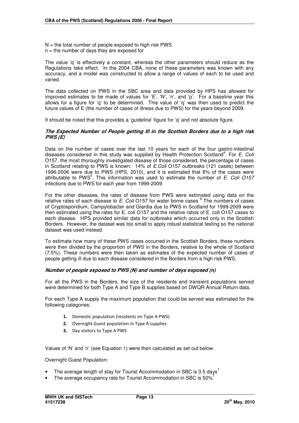$N =$  the total number of people exposed to high risk PWS  $n =$  the number of days they are exposed for

The value 'q' is effectively a constant, whereas the other parameters should reduce as the Regulations take effect. In the 2004 CBA, none of these parameters was known with any accuracy, and a model was constructed to allow a range of values of each to be used and varied.

The data collected on PWS in the SBC area and data provided by HPS has allowed for improved estimates to be made of values for 'E', 'N', 'n', and 'p'. For a baseline year this allows for a figure for 'q' to be determined. This value of 'q' was then used to predict the future values of E (the number of cases of illness due to PWS) for the years beyond 2009.

It should be noted that this provides a 'quideline' figure for 'q' and not absolute figure.

#### **The Expected Number of People getting Ill in the Scottish Borders due to a high risk PWS (E)**

Data on the number of cases over the last 10 years for each of the four gastro-intestinal diseases considered in this study was supplied by Health Protection Scotland<sup>4</sup>. For E. Col. O157, the most thoroughly investigated disease of those considered, the percentage of cases in Scotland relating to PWS is known: 14% of E.Coli O157 outbreaks (121 cases) between 1996-2006 were due to PWS (HPS, 2010), and it is estimated that 8% of the cases were attributable to PWS $5$ . This information was used to estimate the number of E. Coli O157 infections due to PWS for each year from 1999-2009.

For the other diseases, the rates of disease from PWS were estimated using data on the relative rates of each disease to E. Coli O157 for water borne cases  $^6$  The numbers of cases of Cryptosporidium, Campylobacter and Giardia due to PWS in Scotland for 1999-2009 were then estimated using the rates for E. coli O157 and the relative ratios of E. coli O157 cases to each disease. HPS provided similar data for outbreaks which occurred only in the Scottish Borders. However, the dataset was too small to apply robust statistical testing so the national dataset was used instead.

To estimate how many of these PWS cases occurred in the Scottish Borders, these numbers were then divided by the proportion of PWS in the Borders, relative to the whole of Scotland (7.5%). These numbers were then taken as estimates of the expected number of cases of people getting ill due to each disease considered in the Borders from a high risk PWS.

#### **Number of people exposed to PWS (N) and number of days exposed (n)**

For all the PWS in the Borders, the size of the residents and transient populations served were determined for both Type A and Type B supplies based on DWQR Annual Return data.

For each Type A supply the maximum population that could be served was estimated for the following categories:

- **1.** Domestic population (residents on Type A PWS)
- **2.** Overnight Guest population in Type A supplies
- **3.** Day visitors to Type A PWS

Values of 'N' and 'n' (see Equation 1) were then calculated as set out below.

Overnight Guest Population:

- The average length of stay for Tourist Accommodation in SBC is 3.5 days<sup>7</sup>
- The average occupancy rate for Tourist Accommodation in SBC is 50%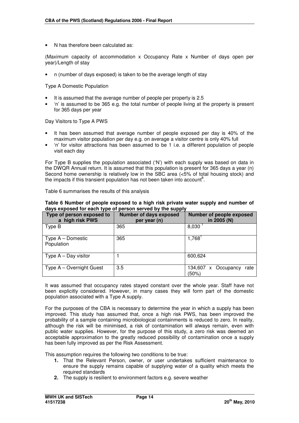• N has therefore been calculated as:

(Maximum capacity of accommodation x Occupancy Rate x Number of days open per year)/Length of stay

• n (number of days exposed) is taken to be the average length of stay

Type A Domestic Population

- It is assumed that the average number of people per property is 2.5
- 'n' is assumed to be 365 e.g. the total number of people living at the property is present for 365 days per year

#### Day Visitors to Type A PWS

- It has been assumed that average number of people exposed per day is 40% of the maximum visitor population per day e.g. on average a visitor centre is only 40% full
- 'n' for visitor attractions has been assumed to be 1 i.e. a different population of people visit each day

For Type B supplies the population associated ('N') with each supply was based on data in the DWQR Annual return. It is assumed that this population is present for 365 days a year (n) Second home ownership is relatively low in the SBC area (<5% of total housing stock) and the impacts if this transient population has not been taken into account<sup>8</sup>.

|  | Table 6 summarises the results of this analysis |  |  |  |
|--|-------------------------------------------------|--|--|--|
|--|-------------------------------------------------|--|--|--|

#### **Table 6 Number of people exposed to a high risk private water supply and number of days exposed for each type of person served by the supply**

| Type of person exposed to<br>a high risk PWS | <b>Number of days exposed</b><br>per year (n) | Number of people exposed<br>in 2005 (N) |
|----------------------------------------------|-----------------------------------------------|-----------------------------------------|
| Type B                                       | 365                                           | 8,030                                   |
| Type $A -$ Domestic<br>Population            | 365                                           | 1,768                                   |
| Type $A - Day$ visitor                       |                                               | 600,624                                 |
| Type A – Overnight Guest                     | 3.5                                           | 134,607<br>x Occupancy<br>rate<br>(50%) |

It was assumed that occupancy rates stayed constant over the whole year. Staff have not been explicitly considered. However, in many cases they will form part of the domestic population associated with a Type A supply.

For the purposes of the CBA is necessary to determine the year in which a supply has been improved. This study has assumed that, once a high risk PWS, has been improved the probability of a sample containing microbiological containments is reduced to zero. In reality, although the risk will be minimised, a risk of contamination will always remain, even with public water supplies. However, for the purpose of this study, a zero risk was deemed an acceptable approximation to the greatly reduced possibility of contamination once a supply has been fully improved as per the Risk Assessment.

This assumption requires the following two conditions to be true:

- **1.** That the Relevant Person, owner, or user undertakes sufficient maintenance to ensure the supply remains capable of supplying water of a quality which meets the required standards
- **2.** The supply is resilient to environment factors e.g. severe weather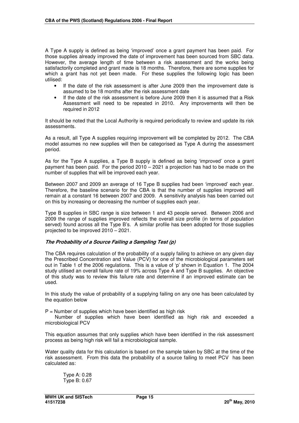A Type A supply is defined as being 'improved' once a grant payment has been paid. For those supplies already improved the date of improvement has been sourced from SBC data. However, the average length of time between a risk assessment and the works being satisfactorily completed and grant made is 18 months. Therefore, there are some supplies for which a grant has not yet been made. For these supplies the following logic has been utilised:

- If the date of the risk assessment is after June 2009 then the improvement date is assumed to be 18 months after the risk assessment date
- If the date of the risk assessment is before June 2009 then it is assumed that a Risk Assessment will need to be repeated in 2010. Any improvements will then be required in 2012

It should be noted that the Local Authority is required periodically to review and update its risk assessments.

As a result, all Type A supplies requiring improvement will be completed by 2012. The CBA model assumes no new supplies will then be categorised as Type A during the assessment period.

As for the Type A supplies, a Type B supply is defined as being 'improved' once a grant payment has been paid. For the period 2010 – 2021 a projection has had to be made on the number of supplies that will be improved each year.

Between 2007 and 2009 an average of 16 Type B supplies had been 'improved' each year. Therefore, the baseline scenario for the CBA is that the number of supplies improved will remain at a constant 16 between 2007 and 2009. A sensitivity analysis has been carried out on this by increasing or decreasing the number of supplies each year.

Type B supplies in SBC range is size between 1 and 43 people served. Between 2006 and 2009 the range of supplies improved reflects the overall size profile (in terms of population served) found across all the Type B's. A similar profile has been adopted for those supplies projected to be improved 2010 – 2021.

#### **The Probability of a Source Failing a Sampling Test (p)**

The CBA requires calculation of the probability of a supply failing to achieve on any given day the Prescribed Concentration and Value (PCV) for one of the microbiological parameters set out in Table 1 of the 2006 regulations. This is a value of 'p' shown in Equation 1. The 2004 study utilised an overall failure rate of 19% across Type A and Type B supplies. An objective of this study was to review this failure rate and determine if an improved estimate can be used.

In this study the value of probability of a supplying failing on any one has been calculated by the equation below

 $P =$  Number of supplies which have been identified as high risk

 Number of supplies which have been identified as high risk and exceeded a microbiological PCV

This equation assumes that only supplies which have been identified in the risk assessment process as being high risk will fail a microbiological sample.

Water quality data for this calculation is based on the sample taken by SBC at the time of the risk assessment. From this data the probability of a source failing to meet PCV has been calculated as:

Type A: 0.28 Type B: 0.67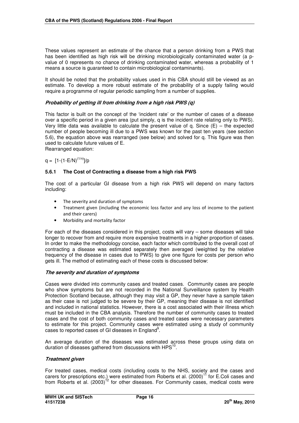These values represent an estimate of the chance that a person drinking from a PWS that has been identified as high risk will be drinking microbiologically contaminated water (a pvalue of 0 represents no chance of drinking contaminated water, whereas a probability of 1 means a source is guaranteed to contain microbiological contaminants).

It should be noted that the probability values used in this CBA should still be viewed as an estimate. To develop a more robust estimate of the probability of a supply failing would require a programme of regular periodic sampling from a number of supplies.

## **Probability of getting ill from drinking from a high risk PWS (q)**

This factor is built on the concept of the 'incident rate' or the number of cases of a disease over a specific period in a given area (put simply, q is the incident rate relating only to PWS). Very little data was available to calculate the present value of q. Since  $(E)$  – the expected number of people becoming ill due to a PWS was known for the past ten years (see section 5.6), the equation above was rearranged (see below) and solved for q. This figure was then used to calculate future values of E. Rearranged equation:

 $q = [1-(1-E/N)^{(1/n)}]/p$ 

#### **5.6.1 The Cost of Contracting a disease from a high risk PWS**

The cost of a particular GI disease from a high risk PWS will depend on many factors including:

- The severity and duration of symptoms
- Treatment given (including the economic loss factor and any loss of income to the patient and their carers)
- Morbidity and mortality factor

For each of the diseases considered in this project, costs will vary – some diseases will take longer to recover from and require more expensive treatments in a higher proportion of cases. In order to make the methodology concise, each factor which contributed to the overall cost of contracting a disease was estimated separately then averaged (weighted by the relative frequency of the disease in cases due to PWS) to give one figure for costs per person who gets ill. The method of estimating each of these costs is discussed below:

#### **The severity and duration of symptoms**

Cases were divided into community cases and treated cases. Community cases are people who show symptoms but are not recorded in the National Surveillance system by Health Protection Scotland because, although they may visit a GP, they never have a sample taken as their case is not judged to be severe by their GP, meaning their disease is not identified and included in national statistics. However, there is a cost associated with their illness which must be included in the CBA analysis. Therefore the number of community cases to treated cases and the cost of both community cases and treated cases were necessary parameters to estimate for this project. Community cases were estimated using a study of community cases to reported cases of GI diseases in England<sup>9</sup>.

An average duration of the diseases was estimated across these groups using data on duration of diseases gathered from discussions with  $HPS^{10}$ .

#### **Treatment given**

For treated cases, medical costs (including costs to the NHS, society and the cases and carers for prescriptions etc.) were estimated from Roberts et al. (2000)<sup>11</sup> for E.Coli cases and from Roberts et al. (2003)<sup>12</sup> for other diseases. For Community cases, medical costs were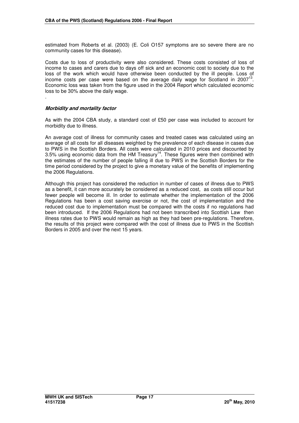estimated from Roberts et al. (2003) (E. Coli O157 symptoms are so severe there are no community cases for this disease).

Costs due to loss of productivity were also considered. These costs consisted of loss of income to cases and carers due to days off sick and an economic cost to society due to the loss of the work which would have otherwise been conducted by the ill people. Loss of income costs per case were based on the average daily wage for Scotland in 2007<sup>13</sup>. Economic loss was taken from the figure used in the 2004 Report which calculated economic loss to be 30% above the daily wage.

#### **Morbidity and mortality factor**

.

As with the 2004 CBA study, a standard cost of £50 per case was included to account for morbidity due to illness.

An average cost of illness for community cases and treated cases was calculated using an average of all costs for all diseases weighted by the prevalence of each disease in cases due to PWS in the Scottish Borders. All costs were calculated in 2010 prices and discounted by 3.5% using economic data from the HM Treasury<sup>14</sup>. These figures were then combined with the estimates of the number of people falling ill due to PWS in the Scottish Borders for the time period considered by the project to give a monetary value of the benefits of implementing the 2006 Regulations.

Although this project has considered the reduction in number of cases of illness due to PWS as a benefit, it can more accurately be considered as a reduced cost, as costs still occur but fewer people will become ill. In order to estimate whether the implementation of the 2006 Regulations has been a cost saving exercise or not, the cost of implementation and the reduced cost due to implementation must be compared with the costs if no regulations had been introduced. If the 2006 Regulations had not been transcribed into Scottish Law then illness rates due to PWS would remain as high as they had been pre-regulations. Therefore, the results of this project were compared with the cost of illness due to PWS in the Scottish Borders in 2005 and over the next 15 years.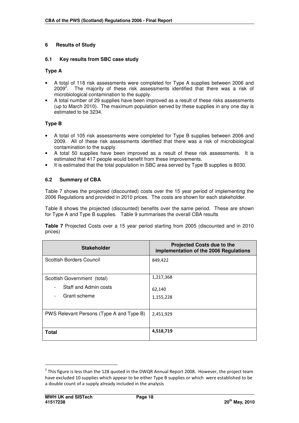# **6 Results of Study**

## **6.1 Key results from SBC case study**

## **Type A**

- A total of 118 risk assessments were completed for Type A supplies between 2006 and 2009<sup>2</sup>. The majority of these risk assessments identified that there was a risk of microbiological contamination to the supply.
- A total number of 29 supplies have been improved as a result of these risks assessments (up to March 2010). The maximum population served by these supplies in any one day is estimated to be 3234.

# **Type B**

- A total of 105 risk assessments were completed for Type B supplies between 2006 and 2009. All of these risk assessments identified that there was a risk of microbiological contamination to the supply.
- A total 50 supplies have been improved as a result of these risk assessments. It is estimated that 417 people would benefit from these improvements.
- It is estimated that the total population in SBC area served by Type B supplies is 8030.

## **6.2 Summary of CBA**

Table 7 shows the projected (discounted) costs over the 15 year period of implementing the 2006 Regulations and provided in 2010 prices. The costs are shown for each stakeholder.

Table 8 shows the projected (discounted) benefits over the same period. These are shown for Type A and Type B supplies. Table 9 summarises the overall CBA results

**Table 7** Projected Costs over a 15 year period starting from 2005 (discounted and in 2010 prices)

| <b>Stakeholder</b>                                                                                                           | <b>Projected Costs due to the</b><br>implementation of the 2006 Regulations |
|------------------------------------------------------------------------------------------------------------------------------|-----------------------------------------------------------------------------|
| Scottish Borders Council                                                                                                     | 849,422                                                                     |
| Scottish Government (total)<br>Staff and Admin costs<br>$\overline{\phantom{a}}$<br>Grant scheme<br>$\overline{\phantom{a}}$ | 1,217,368<br>62,140<br>1,155,228                                            |
| PWS Relevant Persons (Type A and Type B)                                                                                     | 2,451,929                                                                   |
| <b>Total</b>                                                                                                                 | 4,518,719                                                                   |

-

<sup>&</sup>lt;sup>2</sup> This figure is less than the 128 quoted in the DWQR Annual Report 2008. However, the project team have excluded 10 supplies which appear to be either Type B supplies or which were established to be a double count of a supply already included in the analysis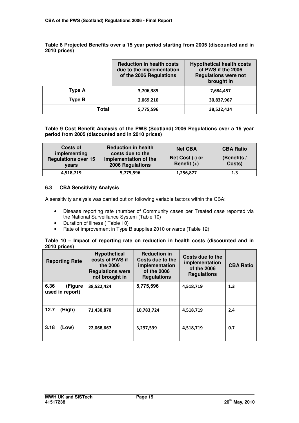|        | <b>Reduction in health costs</b><br>due to the implementation<br>of the 2006 Regulations | <b>Hypothetical health costs</b><br>of PWS if the 2006<br><b>Regulations were not</b><br>brought in |
|--------|------------------------------------------------------------------------------------------|-----------------------------------------------------------------------------------------------------|
| Type A | 3,706,385                                                                                | 7,684,457                                                                                           |
| Type B | 2,069,210                                                                                | 30,837,967                                                                                          |
| Total  | 5,775,596                                                                                | 38,522,424                                                                                          |

**Table 8 Projected Benefits over a 15 year period starting from 2005 (discounted and in 2010 prices)** 

## **Table 9 Cost Benefit Analysis of the PWS (Scotland) 2006 Regulations over a 15 year period from 2005 (discounted and in 2010 prices)**

| Costs of<br>implementing            | <b>Reduction in health</b><br>costs due to the   | <b>Net CBA</b>                   | <b>CBA Ratio</b>      |
|-------------------------------------|--------------------------------------------------|----------------------------------|-----------------------|
| <b>Regulations over 15</b><br>vears | implementation of the<br><b>2006 Regulations</b> | Net Cost (-) or<br>Benefit $(+)$ | (Benefits /<br>Costs) |
| 4,518,719                           | 5,775,596                                        | 1,256,877                        | 1.3                   |

# **6.3 CBA Sensitivity Analysis**

A sensitivity analysis was carried out on following variable factors within the CBA:

- Disease reporting rate (number of Community cases per Treated case reported via the National Surveillance System (Table 10)
- Duration of illness ( Table 10)
- Rate of improvement in Type B supplies 2010 onwards (Table 12)

#### **Table 10 – Impact of reporting rate on reduction in health costs (discounted and in 2010 prices)**

| <b>Reporting Rate</b>              | <b>Hypothetical</b><br>costs of PWS if<br>the 2006<br><b>Regulations were</b><br>not brought in | <b>Reduction in</b><br>Costs due to the<br>implementation<br>of the 2006<br><b>Regulations</b> | Costs due to the<br>implementation<br>of the 2006<br><b>Regulations</b> | <b>CBA Ratio</b> |
|------------------------------------|-------------------------------------------------------------------------------------------------|------------------------------------------------------------------------------------------------|-------------------------------------------------------------------------|------------------|
| 6.36<br>(Figure<br>used in report) | 38.522.424                                                                                      | 5,775,596                                                                                      | 4,518,719                                                               | 1.3              |
| 12.7<br>(High)                     | 71,430,870                                                                                      | 10,783,724                                                                                     | 4,518,719                                                               | 2.4              |
| 3.18<br>(Low)                      | 22,068,667                                                                                      | 3,297,539                                                                                      | 4,518,719                                                               | 0.7              |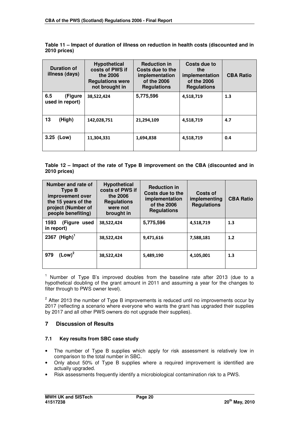**Table 11 – Impact of duration of illness on reduction in health costs (discounted and in 2010 prices)** 

| <b>Duration of</b><br>illness (days) | <b>Hypothetical</b><br>costs of PWS if<br>the 2006<br><b>Regulations were</b><br>not brought in | <b>Reduction in</b><br>Costs due to the<br>implementation<br>of the 2006<br><b>Regulations</b> | Costs due to<br>the<br>implementation<br>of the 2006<br><b>Regulations</b> | <b>CBA Ratio</b> |
|--------------------------------------|-------------------------------------------------------------------------------------------------|------------------------------------------------------------------------------------------------|----------------------------------------------------------------------------|------------------|
| 6.5<br>(Figure<br>used in report)    | 38,522,424                                                                                      | 5,775,596                                                                                      | 4,518,719                                                                  | 1.3              |
| 13<br>(High)                         | 142,028,751                                                                                     | 21,294,109                                                                                     | 4,518,719                                                                  | 4.7              |
| 3.25 (Low)                           | 11,304,331                                                                                      | 1,694,838                                                                                      | 4,518,719                                                                  | 0.4              |

**Table 12 – Impact of the rate of Type B improvement on the CBA (discounted and in 2010 prices)** 

| Number and rate of<br>Type B<br>improvement over<br>the 15 years of the<br>project (Number of<br>people benefiting) | <b>Hypothetical</b><br>costs of PWS if<br>the 2006<br><b>Regulations</b><br>were not<br>brought in | <b>Reduction in</b><br>Costs due to the<br>implementation<br>of the 2006<br><b>Regulations</b> | Costs of<br>implementing<br><b>Regulations</b> | <b>CBA Ratio</b> |
|---------------------------------------------------------------------------------------------------------------------|----------------------------------------------------------------------------------------------------|------------------------------------------------------------------------------------------------|------------------------------------------------|------------------|
| 1593<br>(Figure used<br>in report)                                                                                  | 38.522.424                                                                                         | 5,775,596                                                                                      | 4,518,719                                      | 1.3              |
| 2367 $(High)^{1}$                                                                                                   | 38,522,424                                                                                         | 9,471,616                                                                                      | 7,588,181                                      | 1.2              |
| $(Low)^2$<br>979                                                                                                    | 38,522,424                                                                                         | 5,489,190                                                                                      | 4,105,001                                      | 1.3              |

<sup>1</sup> Number of Type B's improved doubles from the baseline rate after 2013 (due to a hypothetical doubling of the grant amount in 2011 and assuming a year for the changes to filter through to PWS owner level).

<sup>2</sup> After 2013 the number of Type B improvements is reduced until no improvements occur by 2017 (reflecting a scenario where everyone who wants the grant has upgraded their supplies by 2017 and all other PWS owners do not upgrade their supplies).

# **7 Discussion of Results**

### **7.1 Key results from SBC case study**

- The number of Type B supplies which apply for risk assessment is relatively low in comparison to the total number in SBC.
- Only about 50% of Type B supplies where a required improvement is identified are actually upgraded.
- Risk assessments frequently identify a microbiological contamination risk to a PWS.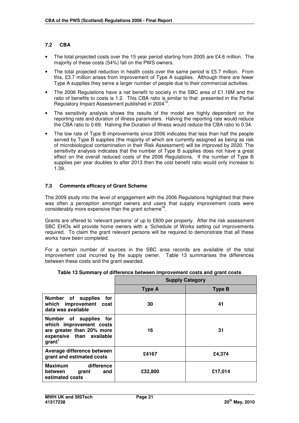# **7.2 CBA**

- The total projected costs over the 15 year period starting from 2005 are £4.6 million. The majority of these costs (54%) fall on the PWS owners.
- The total projected reduction in health costs over the same period is £5.7 million. From this, £3.7 million arises from improvement of Type A supplies. Although there are fewer Type A supplies they serve a larger number of people due to their commercial activities.
- The 2006 Regulations have a net benefit to society in the SBC area of £1.16M and the ratio of benefits to costs is 1.2. This CBA ratio is similar to that presented in the Partial Regulatory Impact Assessment published in 2004<sup>15</sup>.
- The sensitivity analysis shows the results of the model are highly dependent on the reporting rate and duration of illness parameters. Halving the reporting rate would reduce the CBA ratio to 0.69. Halving the Duration of Illness would reduce the CBA ratio to 0.34.
- The low rate of Type B improvements since 2006 indicates that less than half the people served by Type B supplies (the majority of which are currently assigned as being as risk of microbiological contamination in their Risk Assessment) will be improved by 2020. The sensitivity analysis indicates that the number of Type B supplies does not have a great effect on the overall reduced costs of the 2006 Regulations. If the number of Type B supplies per year doubles to after 2013 then the cost benefit ratio would only increase to 1.39.

## **7.3 Comments efficacy of Grant Scheme**

The 2009 study into the level of engagement with the 2006 Regulations highlighted that there was often a perception amongst owners and users that supply improvement costs were considerably more expensive than the grant scheme<sup>16</sup> .

Grants are offered to 'relevant persons' of up to £800 per property. After the risk assessment SBC EHOs will provide home owners with a 'Schedule of Works setting out improvements required. To claim the grant relevant persons will be required to demonstrate that all these works have been completed.

For a certain number of sources in the SBC area records are available of the total improvement cost incurred by the supply owner. Table 13 summarises the differences between these costs and the grant awarded.

|                                                                                                                                     | <b>Supply Category</b> |               |  |
|-------------------------------------------------------------------------------------------------------------------------------------|------------------------|---------------|--|
|                                                                                                                                     | <b>Type A</b>          | <b>Type B</b> |  |
| Number of<br>supplies<br>for<br>which improvement<br>cost<br>data was available                                                     | 30                     | 41            |  |
| Number of supplies<br>for<br>which improvement costs<br>are greater than 20% more<br>expensive than available<br>grant <sup>1</sup> | 16                     | 31            |  |
| Average difference between<br>grant and estimated costs                                                                             | £4167                  | £4,374        |  |
| <b>Maximum</b><br>difference<br>between<br>and<br>grant<br>estimated costs                                                          | £32,800                | £17,014       |  |

| Table 13 Summary of difference between improvement costs and grant costs |
|--------------------------------------------------------------------------|
|--------------------------------------------------------------------------|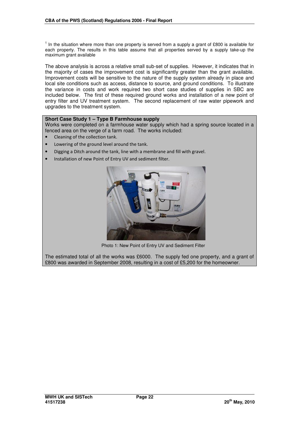$<sup>1</sup>$  In the situation where more than one property is served from a supply a grant of £800 is available for</sup> each property. The results in this table assume that all properties served by a supply take-up the maximum grant available

The above analysis is across a relative small sub-set of supplies. However, it indicates that in the majority of cases the improvement cost is significantly greater than the grant available. Improvement costs will be sensitive to the nature of the supply system already in place and local site conditions such as access, distance to source, and ground conditions. To illustrate the variance in costs and work required two short case studies of supplies in SBC are included below. The first of these required ground works and installation of a new point of entry filter and UV treatment system. The second replacement of raw water pipework and upgrades to the treatment system.

## **Short Case Study 1 – Type B Farmhouse supply**

Works were completed on a farmhouse water supply which had a spring source located in a fenced area on the verge of a farm road. The works included:

- Cleaning of the collection tank.
- Lowering of the ground level around the tank.
- Digging a Ditch around the tank, line with a membrane and fill with gravel.
- Installation of new Point of Entry UV and sediment filter.



Photo 1: New Point of Entry UV and Sediment Filter

The estimated total of all the works was £6000. The supply fed one property, and a grant of £800 was awarded in September 2008, resulting in a cost of £5,200 for the homeowner.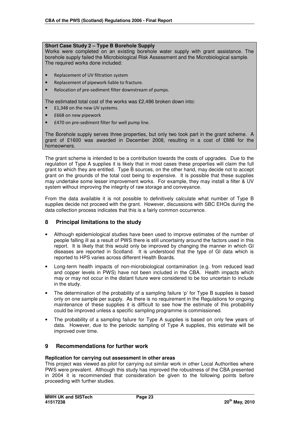## **Short Case Study 2 – Type B Borehole Supply**

Works were completed on an existing borehole water supply with grant assistance. The borehole supply failed the Microbiological Risk Assessment and the Microbiological sample. The required works done included:

- Replacement of UV filtration system
- Replacement of pipework liable to fracture.
- Relocation of pre-sediment filter downstream of pumps.

The estimated total cost of the works was £2,486 broken down into:

- **£1,348 on the new UV systems.**
- £668 on new pipework
- £470 on pre-sediment filter for well pump line.

The Borehole supply serves three properties, but only two took part in the grant scheme. A grant of £1600 was awarded in December 2008, resulting in a cost of £886 for the homeowners.

The grant scheme is intended to be a contribution towards the costs of upgrades. Due to the regulation of Type A supplies it is likely that in most cases these properties will claim the full grant to which they are entitled. Type B sources, on the other hand, may decide not to accept grant on the grounds of the total cost being to expensive. It is possible that these supplies may undertake some lesser improvement works. For example, they may install a filter & UV system without improving the integrity of raw storage and conveyance.

From the data available it is not possible to definitively calculate what number of Type B supplies decide not proceed with the grant. However, discussions with SBC EHOs during the data collection process indicates that this is a fairly common occurrence.

# **8 Principal limitations to the study**

- Although epidemiological studies have been used to improve estimates of the number of people falling ill as a result of PWS there is still uncertainty around the factors used in this report. It is likely that this would only be improved by changing the manner in which GI diseases are reported in Scotland. It is understood that the type of GI data which is reported to HPS varies across different Health Boards.
- Long-term health impacts of non-microbiological contamination (e.g. from reduced lead and copper levels in PWS) have not been included in the CBA. Health impacts which may or may not occur in the distant future were considered to be too uncertain to include in the study.
- The determination of the probability of a sampling failure 'p' for Type B supplies is based only on one sample per supply. As there is no requirement in the Regulations for ongoing maintenance of these supplies it is difficult to see how the estimate of this probability could be improved unless a specific sampling programme is commissioned.
- The probability of a sampling failure for Type A supplies is based on only few years of data. However, due to the periodic sampling of Type A supplies, this estimate will be improved over time.

# **9 Recommendations for further work**

#### **Replication for carrying out assessment in other areas**

This project was viewed as pilot for carrying out similar work in other Local Authorities where PWS were prevalent. Although this study has improved the robustness of the CBA presented in 2004 it is recommended that consideration be given to the following points before proceeding with further studies.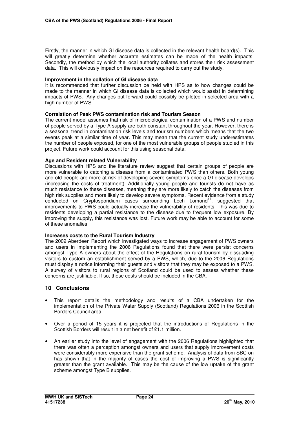Firstly, the manner in which GI disease data is collected in the relevant health board(s). This will greatly determine whether accurate estimates can be made of the health impacts. Secondly, the method by which the local authority collates and stores their risk assessment data. This will obviously impact on the resources required to carry out the study.

#### **Improvement in the collation of GI disease data**

It is recommended that further discussion be held with HPS as to how changes could be made to the manner in which GI disease data is collected which would assist in determining impacts of PWS. Any changes put forward could possibly be piloted in selected area with a high number of PWS.

#### **Correlation of Peak PWS contamination risk and Tourism Season**

The current model assumes that risk of microbiological contamination of a PWS and number of people served by a Type A supply are both constant throughout the year. However, there is a seasonal trend in contamination risk levels and tourism numbers which means that the two events peak at a similar time of year. This may mean that the current study underestimates the number of people exposed, for one of the most vulnerable groups of people studied in this project. Future work could account for this using seasonal data.

#### **Age and Resident related Vulnerability**

Discussions with HPS and the literature review suggest that certain groups of people are more vulnerable to catching a disease from a contaminated PWS than others. Both young and old people are more at risk of developing severe symptoms once a GI disease develops (increasing the costs of treatment). Additionally young people and tourists do not have as much resistance to these diseases, meaning they are more likely to catch the diseases from high risk supplies and more likely to develop severe symptoms. Recent evidence from a study conducted on Cryptosporidium cases surrounding Loch Lomond<sup>17</sup>, suggested that improvements to PWS could actually increase the vulnerability of residents. This was due to residents developing a partial resistance to the disease due to frequent low exposure. By improving the supply, this resistance was lost. Future work may be able to account for some of these anomalies.

#### **Increases costs to the Rural Tourism Industry**

The 2009 Aberdeen Report which investigated ways to increase engagement of PWS owners and users in implementing the 2006 Regulations found that there were persist concerns amongst Type A owners about the effect of the Regulations on rural tourism by dissuading visitors to custom an establishment served by a PWS, which, due to the 2006 Regulations must display a notice informing their guests and visitors that they may be exposed to a PWS. A survey of visitors to rural regions of Scotland could be used to assess whether these concerns are justifiable. If so, these costs should be included in the CBA.

#### **10 Conclusions**

- This report details the methodology and results of a CBA undertaken for the implementation of the Private Water Supply (Scotland) Regulations 2006 in the Scottish Borders Council area.
- Over a period of 15 years it is projected that the introductions of Regulations in the Scottish Borders will result in a net benefit of £1.1 million.
- An earlier study into the level of engagement with the 2006 Regulations highlighted that there was often a perception amongst owners and users that supply improvement costs were considerably more expensive than the grant scheme. Analysis of data from SBC on has shown that in the majority of cases the cost of improving a PWS is significantly greater than the grant available. This may be the cause of the low uptake of the grant scheme amongst Type B supplies.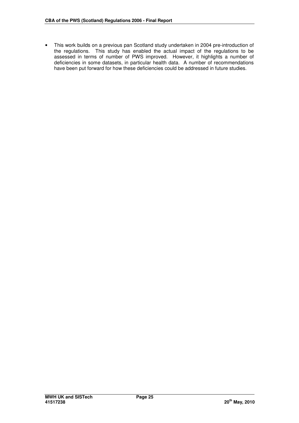• This work builds on a previous pan Scotland study undertaken in 2004 pre-introduction of the regulations. This study has enabled the actual impact of the regulations to be assessed in terms of number of PWS improved. However, it highlights a number of deficiencies in some datasets, in particular health data. A number of recommendations have been put forward for how these deficiencies could be addressed in future studies.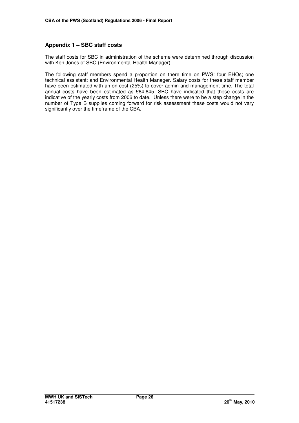# **Appendix 1 – SBC staff costs**

The staff costs for SBC in administration of the scheme were determined through discussion with Ken Jones of SBC (Environmental Health Manager)

The following staff members spend a proportion on there time on PWS: four EHOs; one technical assistant; and Environmental Health Manager. Salary costs for these staff member have been estimated with an on-cost (25%) to cover admin and management time. The total annual costs have been estimated as £64,645. SBC have indicated that these costs are indicative of the yearly costs from 2006 to date. Unless there were to be a step change in the number of Type B supplies coming forward for risk assessment these costs would not vary significantly over the timeframe of the CBA.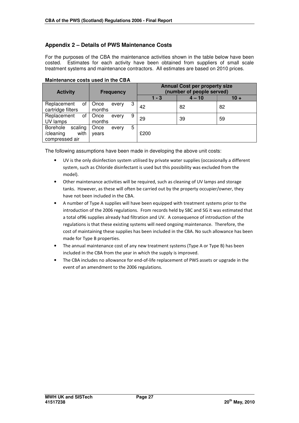# **Appendix 2 – Details of PWS Maintenance Costs**

For the purposes of the CBA the maintenance activities shown in the table below have been costed. Estimates for each activity have been obtained from suppliers of small scale treatment systems and maintenance contractors. All estimates are based on 2010 prices.

| <b>Activity</b>                                            | <b>Frequency</b>             |         | <b>Annual Cost per property size</b><br>(number of people served) |        |
|------------------------------------------------------------|------------------------------|---------|-------------------------------------------------------------------|--------|
|                                                            |                              | $1 - 3$ | $4 - 10$                                                          | $10 +$ |
| Replacement<br>οf<br>cartridge filters                     | 3<br>Once<br>every<br>months | 42      | 82                                                                | 82     |
| Replacement<br>οf<br>UV lamps                              | 9<br>Once<br>every<br>months | 29      | 39                                                                | 59     |
| Borehole<br>scaling<br>with<br>/cleaning<br>compressed air | 5<br>Once<br>every<br>vears  | £200    |                                                                   |        |

#### **Maintenance costs used in the CBA**

The following assumptions have been made in developing the above unit costs:

- UV is the only disinfection system utilised by private water supplies (occasionally a different system, such as Chloride disinfectant is used but this possibility was excluded from the model).
- Other maintenance activities will be required, such as cleaning of UV lamps and storage tanks. However, as these will often be carried out by the property occupier/owner, they have not been included in the CBA.
- A number of Type A supplies will have been equipped with treatment systems prior to the introduction of the 2006 regulations. From records held by SBC and SG it was estimated that a total of96 supplies already had filtration and UV. A consequence of introduction of the regulations is that these existing systems will need ongoing maintenance. Therefore, the cost of maintaining these supplies has been included in the CBA. No such allowance has been made for Type B properties.
- The annual maintenance cost of any new treatment systems (Type A or Type B) has been included in the CBA from the year in which the supply is improved.
- The CBA includes no allowance for end-of-life replacement of PWS assets or upgrade in the event of an amendment to the 2006 regulations.